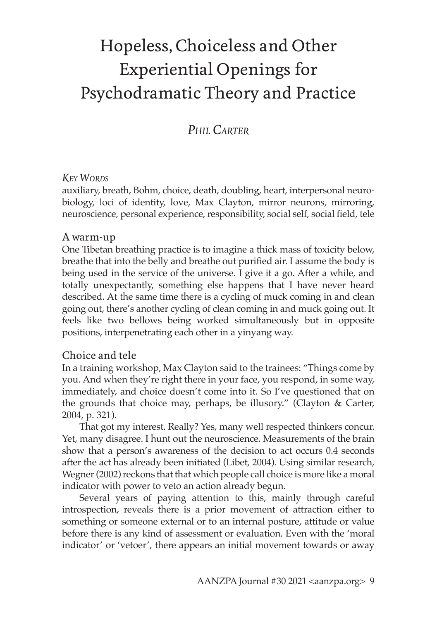# Hopeless, Choiceless and Other Experiential Openings for Psychodramatic Theory and Practice

## *Phil Carter*

#### *Key Words*

auxiliary, breath, Bohm, choice, death, doubling, heart, interpersonal neurobiology, loci of identity, love, Max Clayton, mirror neurons, mirroring, neuroscience, personal experience, responsibility, social self, social field, tele

#### A warm-up

One Tibetan breathing practice is to imagine a thick mass of toxicity below, breathe that into the belly and breathe out purified air. I assume the body is being used in the service of the universe. I give it a go. After a while, and totally unexpectantly, something else happens that I have never heard described. At the same time there is a cycling of muck coming in and clean going out, there's another cycling of clean coming in and muck going out. It feels like two bellows being worked simultaneously but in opposite positions, interpenetrating each other in a yinyang way.

#### Choice and tele

In a training workshop, Max Clayton said to the trainees: "Things come by you. And when they're right there in your face, you respond, in some way, immediately, and choice doesn't come into it. So I've questioned that on the grounds that choice may, perhaps, be illusory." (Clayton & Carter, 2004, p. 321).

That got my interest. Really? Yes, many well respected thinkers concur. Yet, many disagree. I hunt out the neuroscience. Measurements of the brain show that a person's awareness of the decision to act occurs 0.4 seconds after the act has already been initiated (Libet, 2004). Using similar research, Wegner (2002) reckons that that which people call choice is more like a moral indicator with power to veto an action already begun.

Several years of paying attention to this, mainly through careful introspection, reveals there is a prior movement of attraction either to something or someone external or to an internal posture, attitude or value before there is any kind of assessment or evaluation. Even with the 'moral indicator' or 'vetoer', there appears an initial movement towards or away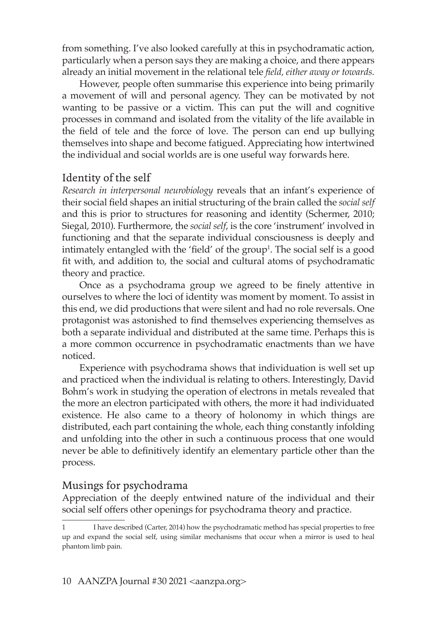from something. I've also looked carefully at this in psychodramatic action, particularly when a person says they are making a choice, and there appears already an initial movement in the relational tele *field, either away or towards.*

However, people often summarise this experience into being primarily a movement of will and personal agency. They can be motivated by not wanting to be passive or a victim. This can put the will and cognitive processes in command and isolated from the vitality of the life available in the field of tele and the force of love. The person can end up bullying themselves into shape and become fatigued. Appreciating how intertwined the individual and social worlds are is one useful way forwards here.

#### Identity of the self

*Research in interpersonal neurobiology* reveals that an infant's experience of their social field shapes an initial structuring of the brain called the *social self* and this is prior to structures for reasoning and identity (Schermer, 2010; Siegal, 2010). Furthermore, the *social self*, is the core 'instrument' involved in functioning and that the separate individual consciousness is deeply and intimately entangled with the 'field' of the group<sup>1</sup>. The social self is a good fit with, and addition to, the social and cultural atoms of psychodramatic theory and practice.

Once as a psychodrama group we agreed to be finely attentive in ourselves to where the loci of identity was moment by moment. To assist in this end, we did productions that were silent and had no role reversals. One protagonist was astonished to find themselves experiencing themselves as both a separate individual and distributed at the same time. Perhaps this is a more common occurrence in psychodramatic enactments than we have noticed.

Experience with psychodrama shows that individuation is well set up and practiced when the individual is relating to others. Interestingly, David Bohm's work in studying the operation of electrons in metals revealed that the more an electron participated with others, the more it had individuated existence. He also came to a theory of holonomy in which things are distributed, each part containing the whole, each thing constantly infolding and unfolding into the other in such a continuous process that one would never be able to definitively identify an elementary particle other than the process.

#### Musings for psychodrama

Appreciation of the deeply entwined nature of the individual and their social self offers other openings for psychodrama theory and practice.

<sup>1</sup> I have described (Carter, 2014) how the psychodramatic method has special properties to free up and expand the social self, using similar mechanisms that occur when a mirror is used to heal phantom limb pain.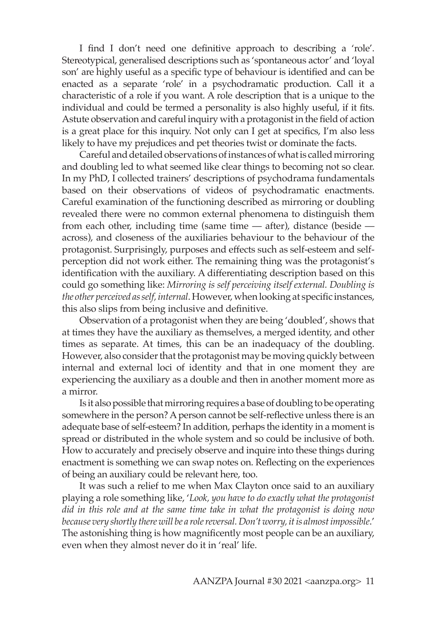I find I don't need one definitive approach to describing a 'role'. Stereotypical, generalised descriptions such as 'spontaneous actor' and 'loyal son' are highly useful as a specific type of behaviour is identified and can be enacted as a separate 'role' in a psychodramatic production. Call it a characteristic of a role if you want. A role description that is a unique to the individual and could be termed a personality is also highly useful, if it fits. Astute observation and careful inquiry with a protagonist in the field of action is a great place for this inquiry. Not only can I get at specifics, I'm also less likely to have my prejudices and pet theories twist or dominate the facts.

Careful and detailed observations of instances of what is called mirroring and doubling led to what seemed like clear things to becoming not so clear. In my PhD, I collected trainers' descriptions of psychodrama fundamentals based on their observations of videos of psychodramatic enactments. Careful examination of the functioning described as mirroring or doubling revealed there were no common external phenomena to distinguish them from each other, including time (same time — after), distance (beside across), and closeness of the auxiliaries behaviour to the behaviour of the protagonist. Surprisingly, purposes and effects such as self-esteem and selfperception did not work either. The remaining thing was the protagonist's identification with the auxiliary. A differentiating description based on this could go something like: *Mirroring is self perceiving itself external. Doubling is the other perceived as self, internal*. However, when looking at specific instances, this also slips from being inclusive and definitive.

Observation of a protagonist when they are being 'doubled', shows that at times they have the auxiliary as themselves, a merged identity, and other times as separate. At times, this can be an inadequacy of the doubling. However, also consider that the protagonist may be moving quickly between internal and external loci of identity and that in one moment they are experiencing the auxiliary as a double and then in another moment more as a mirror.

Is it also possible that mirroring requires a base of doubling to be operating somewhere in the person? A person cannot be self-reflective unless there is an adequate base of self-esteem? In addition, perhaps the identity in a moment is spread or distributed in the whole system and so could be inclusive of both. How to accurately and precisely observe and inquire into these things during enactment is something we can swap notes on. Reflecting on the experiences of being an auxiliary could be relevant here, too.

It was such a relief to me when Max Clayton once said to an auxiliary playing a role something like, '*Look, you have to do exactly what the protagonist did in this role and at the same time take in what the protagonist is doing now because very shortly there will be a role reversal. Don't worry, it is almost impossible*.' The astonishing thing is how magnificently most people can be an auxiliary, even when they almost never do it in 'real' life.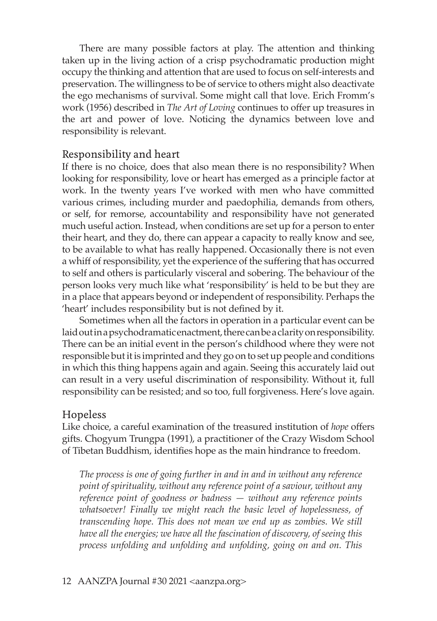There are many possible factors at play. The attention and thinking taken up in the living action of a crisp psychodramatic production might occupy the thinking and attention that are used to focus on self-interests and preservation. The willingness to be of service to others might also deactivate the ego mechanisms of survival. Some might call that love. Erich Fromm's work (1956) described in *The Art of Loving* continues to offer up treasures in the art and power of love. Noticing the dynamics between love and responsibility is relevant.

#### Responsibility and heart

If there is no choice, does that also mean there is no responsibility? When looking for responsibility, love or heart has emerged as a principle factor at work. In the twenty years I've worked with men who have committed various crimes, including murder and paedophilia, demands from others, or self, for remorse, accountability and responsibility have not generated much useful action. Instead, when conditions are set up for a person to enter their heart, and they do, there can appear a capacity to really know and see, to be available to what has really happened. Occasionally there is not even a whiff of responsibility, yet the experience of the suffering that has occurred to self and others is particularly visceral and sobering. The behaviour of the person looks very much like what 'responsibility' is held to be but they are in a place that appears beyond or independent of responsibility. Perhaps the 'heart' includes responsibility but is not defined by it.

Sometimes when all the factors in operation in a particular event can be laid out in a psychodramatic enactment, there can be a clarity on responsibility. There can be an initial event in the person's childhood where they were not responsible but it is imprinted and they go on to set up people and conditions in which this thing happens again and again. Seeing this accurately laid out can result in a very useful discrimination of responsibility. Without it, full responsibility can be resisted; and so too, full forgiveness. Here's love again.

#### Hopeless

Like choice, a careful examination of the treasured institution of *hope* offers gifts. Chogyum Trungpa (1991), a practitioner of the Crazy Wisdom School of Tibetan Buddhism, identifies hope as the main hindrance to freedom.

*The process is one of going further in and in and in without any reference point of spirituality, without any reference point of a saviour, without any reference point of goodness or badness — without any reference points whatsoever! Finally we might reach the basic level of hopelessness, of transcending hope. This does not mean we end up as zombies. We still have all the energies; we have all the fascination of discovery, of seeing this process unfolding and unfolding and unfolding, going on and on. This*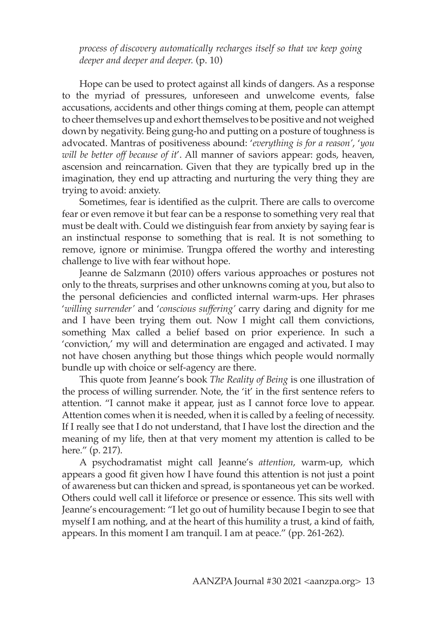*process of discovery automatically recharges itself so that we keep going deeper and deeper and deeper.* (p. 10)

Hope can be used to protect against all kinds of dangers. As a response to the myriad of pressures, unforeseen and unwelcome events, false accusations, accidents and other things coming at them, people can attempt to cheer themselves up and exhort themselves to be positive and not weighed down by negativity. Being gung-ho and putting on a posture of toughness is advocated. Mantras of positiveness abound: '*everything is for a reason'*, '*you will be better off because of it*'. All manner of saviors appear: gods, heaven, ascension and reincarnation. Given that they are typically bred up in the imagination, they end up attracting and nurturing the very thing they are trying to avoid: anxiety.

Sometimes, fear is identified as the culprit. There are calls to overcome fear or even remove it but fear can be a response to something very real that must be dealt with. Could we distinguish fear from anxiety by saying fear is an instinctual response to something that is real. It is not something to remove, ignore or minimise. Trungpa offered the worthy and interesting challenge to live with fear without hope.

Jeanne de Salzmann (2010) offers various approaches or postures not only to the threats, surprises and other unknowns coming at you, but also to the personal deficiencies and conflicted internal warm-ups. Her phrases '*willing surrender'* and '*conscious suffering'* carry daring and dignity for me and I have been trying them out. Now I might call them convictions, something Max called a belief based on prior experience. In such a 'conviction,' my will and determination are engaged and activated. I may not have chosen anything but those things which people would normally bundle up with choice or self-agency are there.

This quote from Jeanne's book *The Reality of Being* is one illustration of the process of willing surrender. Note, the 'it' in the first sentence refers to attention. "I cannot make it appear, just as I cannot force love to appear. Attention comes when it is needed, when it is called by a feeling of necessity. If I really see that I do not understand, that I have lost the direction and the meaning of my life, then at that very moment my attention is called to be here." (p. 217).

A psychodramatist might call Jeanne's *attention*, warm-up, which appears a good fit given how I have found this attention is not just a point of awareness but can thicken and spread, is spontaneous yet can be worked. Others could well call it lifeforce or presence or essence. This sits well with Jeanne's encouragement: "I let go out of humility because I begin to see that myself I am nothing, and at the heart of this humility a trust, a kind of faith, appears. In this moment I am tranquil. I am at peace." (pp. 261-262).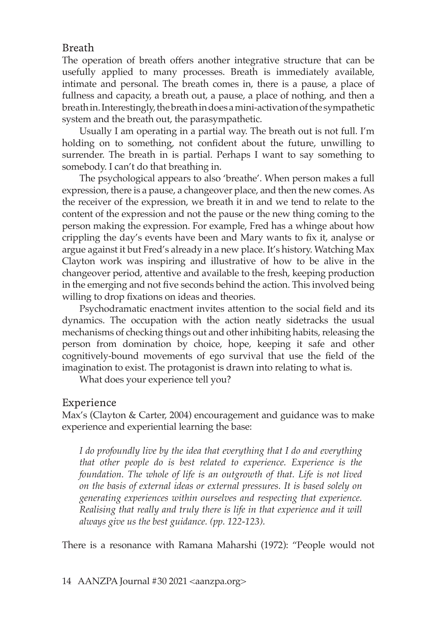#### Breath

The operation of breath offers another integrative structure that can be usefully applied to many processes. Breath is immediately available, intimate and personal. The breath comes in, there is a pause, a place of fullness and capacity, a breath out, a pause, a place of nothing, and then a breath in. Interestingly, the breath in does a mini-activation of the sympathetic system and the breath out, the parasympathetic.

Usually I am operating in a partial way. The breath out is not full. I'm holding on to something, not confident about the future, unwilling to surrender. The breath in is partial. Perhaps I want to say something to somebody. I can't do that breathing in.

The psychological appears to also 'breathe'. When person makes a full expression, there is a pause, a changeover place, and then the new comes. As the receiver of the expression, we breath it in and we tend to relate to the content of the expression and not the pause or the new thing coming to the person making the expression. For example, Fred has a whinge about how crippling the day's events have been and Mary wants to fix it, analyse or argue against it but Fred's already in a new place. It's history. Watching Max Clayton work was inspiring and illustrative of how to be alive in the changeover period, attentive and available to the fresh, keeping production in the emerging and not five seconds behind the action. This involved being willing to drop fixations on ideas and theories.

Psychodramatic enactment invites attention to the social field and its dynamics. The occupation with the action neatly sidetracks the usual mechanisms of checking things out and other inhibiting habits, releasing the person from domination by choice, hope, keeping it safe and other cognitively-bound movements of ego survival that use the field of the imagination to exist. The protagonist is drawn into relating to what is.

What does your experience tell you?

### Experience

Max's (Clayton & Carter, 2004) encouragement and guidance was to make experience and experiential learning the base:

*I do profoundly live by the idea that everything that I do and everything that other people do is best related to experience. Experience is the foundation. The whole of life is an outgrowth of that. Life is not lived on the basis of external ideas or external pressures. It is based solely on generating experiences within ourselves and respecting that experience. Realising that really and truly there is life in that experience and it will always give us the best guidance. (pp. 122-123).* 

There is a resonance with Ramana Maharshi (1972): "People would not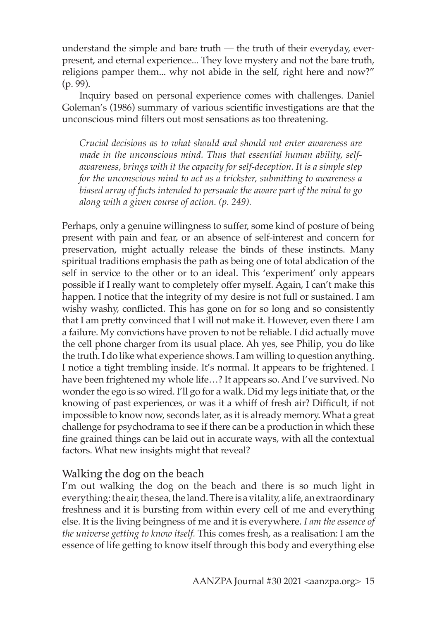understand the simple and bare truth — the truth of their everyday, everpresent, and eternal experience... They love mystery and not the bare truth, religions pamper them... why not abide in the self, right here and now?" (p. 99).

Inquiry based on personal experience comes with challenges. Daniel Goleman's (1986) summary of various scientific investigations are that the unconscious mind filters out most sensations as too threatening.

*Crucial decisions as to what should and should not enter awareness are made in the unconscious mind. Thus that essential human ability, selfawareness, brings with it the capacity for self-deception. It is a simple step for the unconscious mind to act as a trickster, submitting to awareness a biased array of facts intended to persuade the aware part of the mind to go along with a given course of action. (p. 249).* 

Perhaps, only a genuine willingness to suffer, some kind of posture of being present with pain and fear, or an absence of self-interest and concern for preservation, might actually release the binds of these instincts. Many spiritual traditions emphasis the path as being one of total abdication of the self in service to the other or to an ideal. This 'experiment' only appears possible if I really want to completely offer myself. Again, I can't make this happen. I notice that the integrity of my desire is not full or sustained. I am wishy washy, conflicted. This has gone on for so long and so consistently that I am pretty convinced that I will not make it. However, even there I am a failure. My convictions have proven to not be reliable. I did actually move the cell phone charger from its usual place. Ah yes, see Philip, you do like the truth. I do like what experience shows. I am willing to question anything. I notice a tight trembling inside. It's normal. It appears to be frightened. I have been frightened my whole life…? It appears so. And I've survived. No wonder the ego is so wired. I'll go for a walk. Did my legs initiate that, or the knowing of past experiences, or was it a whiff of fresh air? Difficult, if not impossible to know now, seconds later, as it is already memory. What a great challenge for psychodrama to see if there can be a production in which these fine grained things can be laid out in accurate ways, with all the contextual factors. What new insights might that reveal?

### Walking the dog on the beach

I'm out walking the dog on the beach and there is so much light in everything: the air, the sea, the land. There is a vitality, a life, an extraordinary freshness and it is bursting from within every cell of me and everything else. It is the living beingness of me and it is everywhere. *I am the essence of the universe getting to know itself.* This comes fresh, as a realisation: I am the essence of life getting to know itself through this body and everything else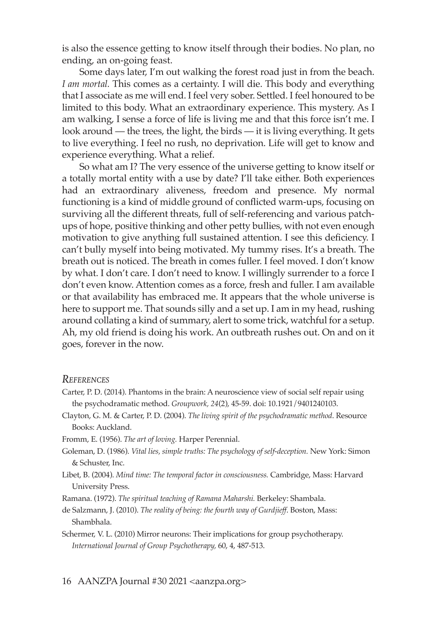is also the essence getting to know itself through their bodies. No plan, no ending, an on-going feast.

Some days later, I'm out walking the forest road just in from the beach. *I am mortal.* This comes as a certainty. I will die. This body and everything that I associate as me will end. I feel very sober. Settled. I feel honoured to be limited to this body. What an extraordinary experience. This mystery. As I am walking, I sense a force of life is living me and that this force isn't me. I look around — the trees, the light, the birds — it is living everything. It gets to live everything. I feel no rush, no deprivation. Life will get to know and experience everything. What a relief.

So what am I? The very essence of the universe getting to know itself or a totally mortal entity with a use by date? I'll take either. Both experiences had an extraordinary aliveness, freedom and presence. My normal functioning is a kind of middle ground of conflicted warm-ups, focusing on surviving all the different threats, full of self-referencing and various patchups of hope, positive thinking and other petty bullies, with not even enough motivation to give anything full sustained attention. I see this deficiency. I can't bully myself into being motivated. My tummy rises. It's a breath. The breath out is noticed. The breath in comes fuller. I feel moved. I don't know by what. I don't care. I don't need to know. I willingly surrender to a force I don't even know. Attention comes as a force, fresh and fuller. I am available or that availability has embraced me. It appears that the whole universe is here to support me. That sounds silly and a set up. I am in my head, rushing around collating a kind of summary, alert to some trick, watchful for a setup. Ah, my old friend is doing his work. An outbreath rushes out. On and on it goes, forever in the now.

#### *References*

- Carter, P. D. (2014). Phantoms in the brain: A neuroscience view of social self repair using the psychodramatic method. *Groupwork, 24*(2), 45-59. doi: 10.1921/9401240103.
- Clayton, G. M. & Carter, P. D. (2004). *The living spirit of the psychodramatic method*. Resource Books: Auckland.
- Fromm, E. (1956). *The art of loving.* Harper Perennial.
- Goleman, D. (1986). *Vital lies, simple truths: The psychology of self-deception.* New York: Simon & Schuster, Inc.
- Libet, B. (2004). *Mind time: The temporal factor in consciousness.* Cambridge, Mass: Harvard University Press.
- Ramana. (1972). *The spiritual teaching of Ramana Maharshi.* Berkeley: Shambala.
- de Salzmann, J. (2010). *The reality of being: the fourth way of Gurdjieff*. Boston, Mass: Shambhala.
- Schermer, V. L. (2010) Mirror neurons: Their implications for group psychotherapy. *International Journal of Group Psychotherapy,* 60, 4, 487-513.